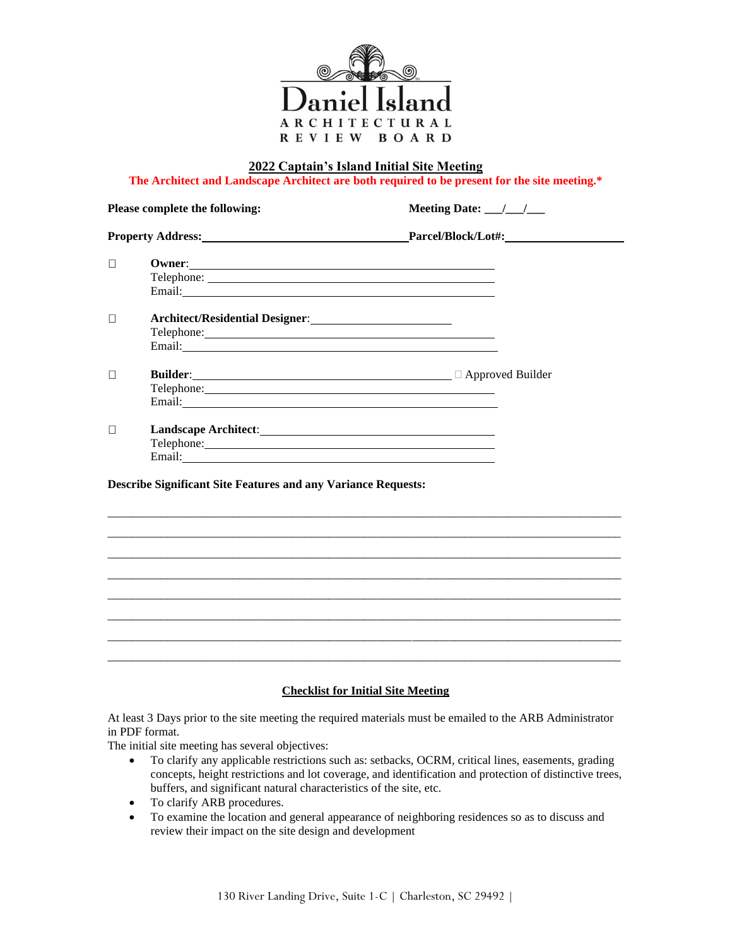

**2022 Captain's Island Initial Site Meeting**

**The Architect and Landscape Architect are both required to be present for the site meeting.\***

| Please complete the following:<br>Property Address: New York Changes and Separate Services and Services and Services and Services and Services and Services and Services and Services and Services and Services and Services and Services and Services and Servi |                                                                                                                                                                                                                                                                                                        | Meeting Date: $\frac{1}{\sqrt{1-\frac{1}{2}}}$   |
|------------------------------------------------------------------------------------------------------------------------------------------------------------------------------------------------------------------------------------------------------------------|--------------------------------------------------------------------------------------------------------------------------------------------------------------------------------------------------------------------------------------------------------------------------------------------------------|--------------------------------------------------|
|                                                                                                                                                                                                                                                                  |                                                                                                                                                                                                                                                                                                        | Parcel/Block/Lot#:                               |
| □                                                                                                                                                                                                                                                                |                                                                                                                                                                                                                                                                                                        |                                                  |
| $\Box$                                                                                                                                                                                                                                                           |                                                                                                                                                                                                                                                                                                        |                                                  |
| П                                                                                                                                                                                                                                                                |                                                                                                                                                                                                                                                                                                        | Builder:<br><b>Example 2018</b> approved Builder |
| П                                                                                                                                                                                                                                                                | Telephone: New York Changes and Changes and Changes and Changes and Changes and Changes and Changes and Changes and Changes and Changes and Changes and Changes and Changes and Changes and Changes and Changes and Changes an<br><b>Describe Significant Site Features and any Variance Requests:</b> |                                                  |
|                                                                                                                                                                                                                                                                  |                                                                                                                                                                                                                                                                                                        |                                                  |
|                                                                                                                                                                                                                                                                  |                                                                                                                                                                                                                                                                                                        |                                                  |
|                                                                                                                                                                                                                                                                  |                                                                                                                                                                                                                                                                                                        |                                                  |
|                                                                                                                                                                                                                                                                  |                                                                                                                                                                                                                                                                                                        |                                                  |
|                                                                                                                                                                                                                                                                  |                                                                                                                                                                                                                                                                                                        |                                                  |

# **Checklist for Initial Site Meeting**

At least 3 Days prior to the site meeting the required materials must be emailed to the ARB Administrator in PDF format.

The initial site meeting has several objectives:

- To clarify any applicable restrictions such as: setbacks, OCRM, critical lines, easements, grading concepts, height restrictions and lot coverage, and identification and protection of distinctive trees, buffers, and significant natural characteristics of the site, etc.
- To clarify ARB procedures.
- To examine the location and general appearance of neighboring residences so as to discuss and review their impact on the site design and development